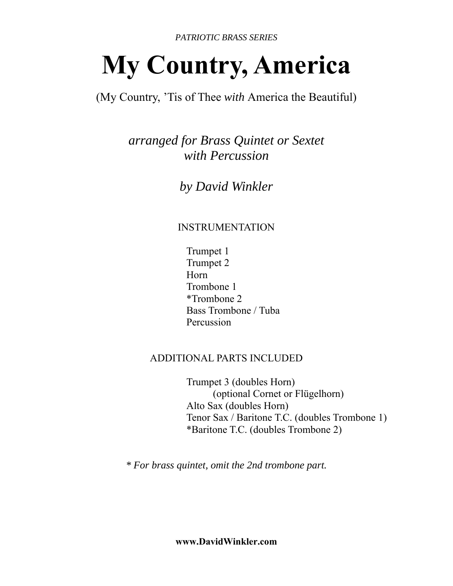*PATRIOTIC BRASS SERIES*

# **My Country, America**

(My Country, 'Tis of Thee *with* America the Beautiful)

*arranged for Brass Quintet or Sextet with Percussion* 

*by David Winkler* 

# INSTRUMENTATION

 Trumpet 1 Trumpet 2 Horn Trombone 1 \*Trombone 2 Bass Trombone / Tuba Percussion

## ADDITIONAL PARTS INCLUDED

 Trumpet 3 (doubles Horn) (optional Cornet or Flügelhorn) Alto Sax (doubles Horn) Tenor Sax / Baritone T.C. (doubles Trombone 1) \*Baritone T.C. (doubles Trombone 2)

*\* For brass quintet, omit the 2nd trombone part.*

**www.DavidWinkler.com**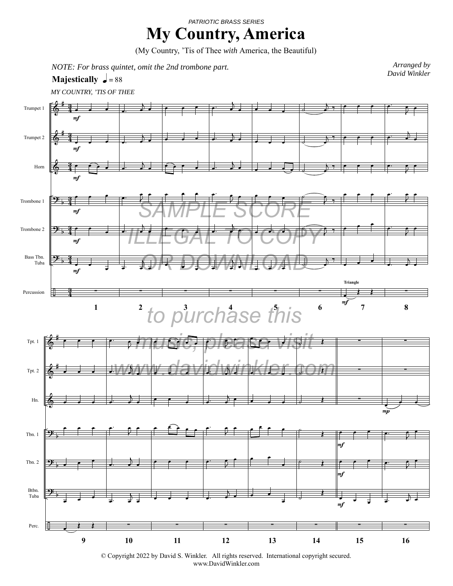#### *PATRIOTIC BRASS SERIES*

# **My Country, America**

(My Country, 'Tis of Thee *with* America, the Beautiful)

*NOTE: For brass quintet, omit the 2nd trombone part.*<br> *David Winkler* 

### **Majestically**  $\sqrt{ } = 88$

*Arranged by* 

*MY COUNTRY, 'TIS OF THEE*



© Copyright 2022 by David S. Winkler. All rights reserved. International copyright secured. www.DavidWinkler.com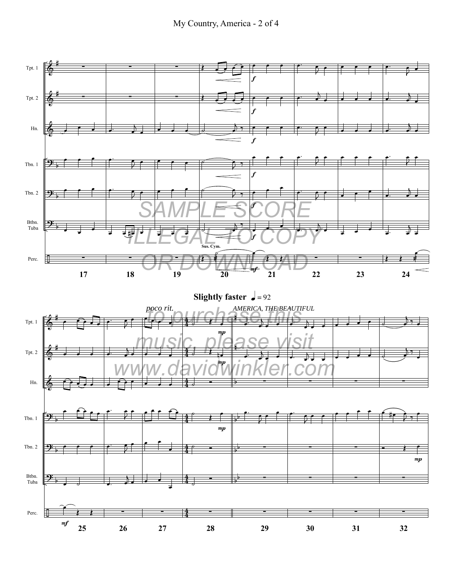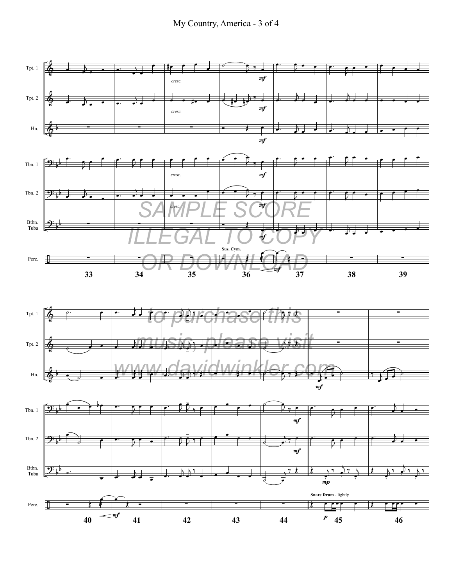



-